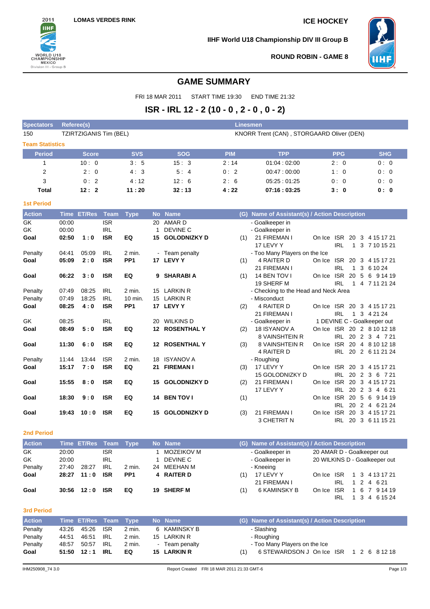

**IIHF World U18 Championship DIV III Group B**



**ROUND ROBIN - GAME 8**

## **GAME SUMMARY**

FRI 18 MAR 2011 START TIME 19:30 END TIME 21:32

# **ISR - IRL 12 - 2 (10 - 0 , 2 - 0 , 0 - 2)**

| <b>Spectators</b>      | Referee(s)              | <b>Linesmen</b> |                   |                                           |                                               |            |            |  |  |  |  |
|------------------------|-------------------------|-----------------|-------------------|-------------------------------------------|-----------------------------------------------|------------|------------|--|--|--|--|
| 150                    | TZIRTZIGANIS Tim (BEL)  |                 |                   | KNORR Trent (CAN), STORGAARD Oliver (DEN) |                                               |            |            |  |  |  |  |
| <b>Team Statistics</b> |                         |                 |                   |                                           |                                               |            |            |  |  |  |  |
| <b>Period</b>          | <b>Score</b>            | <b>SVS</b>      | <b>SOG</b>        | <b>PIM</b>                                | <b>TPP</b>                                    | <b>PPG</b> | <b>SHG</b> |  |  |  |  |
|                        | 10:0                    | 3:5             | 15:3              | 2:14                                      | 01.04:02.00                                   | 2:0        | 0:0        |  |  |  |  |
| 2                      | 2:0                     | 4:3             | 5:4               | 0:2                                       | 00:47:00:00                                   | 1:0        | 0:0        |  |  |  |  |
| 3                      | 0:2                     | 4:12            | 12:6              | 2:6                                       | 05.25:01.25                                   | 0:0        | 0:0        |  |  |  |  |
| <b>Total</b>           | 12:2                    | 11:20           | 32:13             | 4:22                                      | 07:16:03:25                                   | 3:0        | 0: 0       |  |  |  |  |
| <b>1st Period</b>      |                         |                 |                   |                                           |                                               |            |            |  |  |  |  |
| Antinu                 | Time ETIDes, Team, Tune |                 | <b>Ala Alaman</b> |                                           | $(0)$ Name of Apointent(a) I Action Decembers |            |            |  |  |  |  |

| <b>Action</b> |       | Time ET/Res | <b>Team</b> | <b>Type</b>        |    | No Name                | (G) | Name of Assistant(s) / Action Description |                            |            |              |              |                             |  |
|---------------|-------|-------------|-------------|--------------------|----|------------------------|-----|-------------------------------------------|----------------------------|------------|--------------|--------------|-----------------------------|--|
| GK            | 00:00 |             | <b>ISR</b>  |                    | 20 | AMAR D                 |     | - Goalkeeper in                           |                            |            |              |              |                             |  |
| GK            | 00:00 |             | IRL         |                    |    | <b>DEVINE C</b>        |     | - Goalkeeper in                           |                            |            |              |              |                             |  |
| Goal          | 02:50 | 1:0         | <b>ISR</b>  | EQ                 |    | <b>15 GOLODNIZKY D</b> | (1) | 21 FIREMAN I                              | On Ice ISR 20 3 4 15 17 21 |            |              |              |                             |  |
|               |       |             |             |                    |    |                        |     | 17 LEVY Y                                 |                            | IRL        | $\mathbf{1}$ |              | 3 7 10 15 21                |  |
| Penalty       | 04:41 | 05:09       | IRL         | 2 min.             |    | - Team penalty         |     | - Too Many Players on the Ice             |                            |            |              |              |                             |  |
| Goal          | 05:09 | 2:0         | <b>ISR</b>  | PP <sub>1</sub>    |    | 17 LEVY Y              | (1) | 4 RAITER D                                | On Ice ISR 20 3 4 15 17 21 |            |              |              |                             |  |
|               |       |             |             |                    |    |                        |     | 21 FIREMAN I                              |                            | <b>IRL</b> | $\mathbf{1}$ | $\mathbf{3}$ | 6 10 24                     |  |
| Goal          | 06:22 | 3:0         | <b>ISR</b>  | EQ                 |    | 9 SHARABI A            | (1) | 14 BEN TOV I                              | On Ice                     |            |              |              | ISR 20 5 6 9 14 19          |  |
|               |       |             |             |                    |    |                        |     | 19 SHERF M                                |                            | IRL        |              |              | 1 4 7 11 21 24              |  |
| Penalty       | 07:49 | 08:25       | IRL         | $2 \text{ min}$ .  |    | 15 LARKIN R            |     | - Checking to the Head and Neck Area      |                            |            |              |              |                             |  |
| Penalty       | 07:49 | 18:25       | IRL         | $10 \text{ min}$ . |    | 15 LARKIN R            |     | - Misconduct                              |                            |            |              |              |                             |  |
| Goal          | 08:25 | 4:0         | <b>ISR</b>  | PP <sub>1</sub>    |    | 17 LEVY Y              | (2) | 4 RAITER D                                | On Ice ISR 20 3 4 15 17 21 |            |              |              |                             |  |
|               |       |             |             |                    |    |                        |     | 21 FIREMAN I                              |                            | IRL.       |              |              | 1 3 4 21 24                 |  |
| GK            | 08:25 |             | <b>IRL</b>  |                    |    | 20 WILKINS D           |     | - Goalkeeper in                           |                            |            |              |              | 1 DEVINE C - Goalkeeper out |  |
| Goal          | 08:49 | 5:0         | <b>ISR</b>  | EQ                 |    | <b>12 ROSENTHAL Y</b>  | (2) | 18 ISYANOV A                              | On Ice ISR 20 2 8 10 12 18 |            |              |              |                             |  |
|               |       |             |             |                    |    |                        |     | <b>8 VAINSHTEIN R</b>                     |                            |            |              |              | IRL 20 2 3 4 7 21           |  |
| Goal          | 11:30 | 6:0         | <b>ISR</b>  | EQ                 |    | <b>12 ROSENTHAL Y</b>  | (3) | 8 VAINSHTEIN R                            | On Ice                     |            |              |              | ISR 20 4 8 10 12 18         |  |
|               |       |             |             |                    |    |                        |     | 4 RAITER D                                |                            |            |              |              | IRL 20 2 6 11 21 24         |  |
| Penalty       | 11:44 | 13:44       | <b>ISR</b>  | $2$ min.           |    | 18 ISYANOV A           |     | - Roughing                                |                            |            |              |              |                             |  |
| Goal          | 15:17 | 7:0         | <b>ISR</b>  | EQ                 | 21 | <b>FIREMAN I</b>       | (3) | 17 LEVY Y                                 | On Ice ISR 20 3 4 15 17 21 |            |              |              |                             |  |
|               |       |             |             |                    |    |                        |     | 15 GOLODNIZKY D                           |                            | IRL        |              |              | 20 2 3 6 7 21               |  |
| Goal          | 15:55 | 8:0         | <b>ISR</b>  | EQ                 |    | <b>15 GOLODNIZKY D</b> | (2) | 21 FIREMAN I                              | On Ice                     |            |              |              | ISR 20 3 4 15 17 21         |  |
|               |       |             |             |                    |    |                        |     | 17 LEVY Y                                 |                            |            |              |              | IRL 20 2 3 4 6 21           |  |
| Goal          | 18:30 | 9:0         | <b>ISR</b>  | EQ                 |    | 14 BEN TOV I           | (1) |                                           | On Ice                     | <b>ISR</b> | 20 5         | 6            | 9 14 19                     |  |
|               |       |             |             |                    |    |                        |     |                                           |                            | IRL        |              |              | 20 2 4 6 21 24              |  |
| Goal          | 19:43 | 10:0        | <b>ISR</b>  | EQ                 |    | <b>15 GOLODNIZKY D</b> | (3) | 21 FIREMAN I                              | On Ice                     |            |              |              | ISR 20 3 4 15 17 21         |  |
|               |       |             |             |                    |    |                        |     | 3 CHETRIT N                               |                            | <b>IRL</b> | 20 3         |              | 6 11 15 21                  |  |

### **2nd Period**

| <b>Action</b> |       | Time ET/Res Team Type |            |                 | No Name     |     | (G) Name of Assistant(s) / Action Description |                               |
|---------------|-------|-----------------------|------------|-----------------|-------------|-----|-----------------------------------------------|-------------------------------|
| GK.           | 20:00 |                       | <b>ISR</b> |                 | MOZEIKOV M  |     | - Goalkeeper in                               | 20 AMAR D - Goalkeeper out    |
| <b>GK</b>     | 20:00 |                       | IRL        |                 | DEVINE C    |     | - Goalkeeper in                               | 20 WILKINS D - Goalkeeper out |
| Penalty       | 27:40 | 28:27                 | IRL        | 2 min.          | 24 MEEHAN M |     | - Kneeing                                     |                               |
| Goal          |       | $28:27$ 11:0          | <b>ISR</b> | PP <sub>1</sub> | 4 RAITER D  | (1) | 17 LEVY Y                                     | On Ice ISR 1 3 4 13 17 21     |
|               |       |                       |            |                 |             |     | 21 FIREMAN I                                  | 1 2 4 6 21<br>IRL             |
| Goal          |       | $30:56$ 12:0          | <b>ISR</b> | EQ              | 19 SHERF M  | (1) | 6 KAMINSKY B                                  | 1 6 7 9 14 19<br>On Ice ISR   |
|               |       |                       |            |                 |             |     |                                               | 1 3 4 6 15 24<br>IRL          |

## **3rd Period**

| <b>Action</b> |       | Time ET/Res Team Type |      |          | No Name        | (G) Name of Assistant(s) / Action Description  |
|---------------|-------|-----------------------|------|----------|----------------|------------------------------------------------|
| Penalty       |       |                       |      | 2 min.   | 6 KAMINSKY B   | - Slashing                                     |
| Penalty       | 44:51 | 46:51                 | IRL. | 2 min.   | 15 LARKIN R    | - Roughing                                     |
| Penalty       | 48:57 | 50:57                 | IRL  | $2$ min. | - Team penalty | - Too Many Players on the Ice                  |
| Goal          |       | $51:50$ $12:1$        | IRL  | EQ       | 15 LARKIN R    | 6 STEWARDSON J On Ice ISR 1 2 6 8 12 18<br>(1) |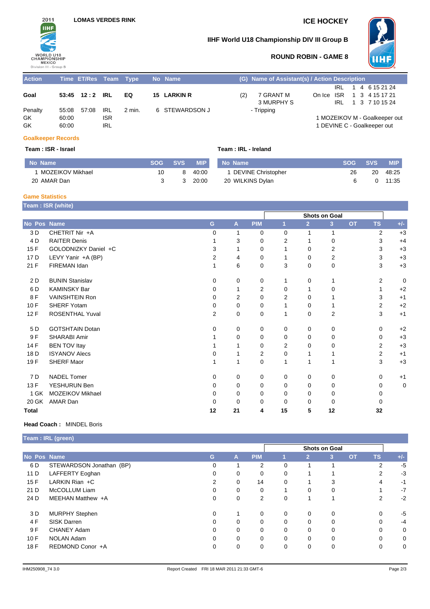

## **IIHF World U18 Championship DIV III Group B**



## **ROUND ROBIN - GAME 8**

| <b>Action</b> |       | Time ET/Res Team Type |            |        | No Name        |     | (G) Name of Assistant(s) / Action Description |     |  |                               |
|---------------|-------|-----------------------|------------|--------|----------------|-----|-----------------------------------------------|-----|--|-------------------------------|
|               |       |                       |            |        |                |     |                                               | IRL |  | 1 4 6 15 21 24                |
| Goal          |       | 53:45 12:2 IRL        |            | EQ     | 15 LARKIN R    | (2) | 7 GRANT M                                     |     |  | On Ice ISR 1 3 4 15 17 21     |
|               |       |                       |            |        |                |     | 3 MURPHY S                                    |     |  | IRL 1 3 7 10 15 24            |
| Penalty       |       | 55:08 57:08           | IRL        | 2 min. | 6 STEWARDSON J |     | - Tripping                                    |     |  |                               |
| GK            | 60:00 |                       | <b>ISR</b> |        |                |     |                                               |     |  | 1 MOZEIKOV M - Goalkeeper out |
| GK            | 60:00 |                       | <b>IRL</b> |        |                |     |                                               |     |  | 1 DEVINE C - Goalkeeper out   |

### **Goalkeeper Records**

### **Team : ISR - Israel Team : IRL - Ireland**

| No Name          | <b>SOG</b> | <b>SVS</b> | <b>MIP</b> | No Name              | <b>SOG</b> | <b>SVS</b> | <b>MIP</b> |
|------------------|------------|------------|------------|----------------------|------------|------------|------------|
| MOZEIKOV Mikhael |            | 8          | 40:00      | 1 DEVINE Christopher | 26         | 20         | 48.25      |
| 20 AMAR Dan      |            |            | 20:00      | 20 WILKINS Dylan     |            |            | 11:35      |

## **Game Statistics**

**Team : ISR (white)**

|              |                        |                |    |            |                |                | <b>Shots on Goal</b> |           |           |       |  |
|--------------|------------------------|----------------|----|------------|----------------|----------------|----------------------|-----------|-----------|-------|--|
| No Pos Name  |                        | G              | A  | <b>PIM</b> |                | $\overline{2}$ | 3 <sup>2</sup>       | <b>OT</b> | <b>TS</b> | $+/-$ |  |
| 3 D          | CHETRIT Nir +A         | $\Omega$       | 1  | 0          | $\Omega$       | 1              | 1                    |           | 2         | $+3$  |  |
| 4 D          | <b>RAITER Denis</b>    |                | 3  | 0          | $\overline{2}$ |                | 0                    |           | 3         | $+4$  |  |
| 15F          | GOLODNIZKY Daniel +C   | 3              | 1  | 0          |                | 0              | 2                    |           | 3         | $+3$  |  |
| 17 D         | LEVY Yanir +A (BP)     | $\overline{2}$ | 4  | 0          |                | $\Omega$       | 2                    |           | 3         | $+3$  |  |
| 21 F         | FIREMAN Idan           |                | 6  | 0          | 3              | 0              | 0                    |           | 3         | $+3$  |  |
| 2 D          | <b>BUNIN Stanislav</b> | $\Omega$       | 0  | 0          | 1              | 0              | 1                    |           | 2         | 0     |  |
| 6 D          | <b>KAMINSKY Bar</b>    | 0              | 1  | 2          | 0              |                | 0                    |           | 1         | $+2$  |  |
| 8F           | <b>VAINSHTEIN Ron</b>  | $\Omega$       | 2  | 0          | 2              | 0              |                      |           | 3         | $+1$  |  |
| 10F          | SHERF Yotam            | $\Omega$       | 0  | 0          |                | 0              |                      |           | 2         | $+2$  |  |
| 12F          | <b>ROSENTHAL Yuval</b> | 2              | 0  | 0          | 1              | 0              | 2                    |           | 3         | $+1$  |  |
| 5 D          | <b>GOTSHTAIN Dotan</b> | $\Omega$       | 0  | 0          | 0              | 0              | 0                    |           | $\Omega$  | $+2$  |  |
| 9F           | SHARABI Amir           |                | 0  | 0          | $\Omega$       | 0              | 0                    |           | $\Omega$  | $+3$  |  |
| 14 F         | <b>BEN TOV Itay</b>    |                |    | 0          | 2              | 0              | 0                    |           | 2         | $+3$  |  |
| 18 D         | <b>ISYANOV Alecs</b>   | O              |    | 2          | $\Omega$       |                |                      |           | 2         | $+1$  |  |
| 19 F         | SHERF Maor             |                |    | 0          | 1              | 1              | 1                    |           | 3         | $+3$  |  |
| 7 D          | <b>NADEL Tomer</b>     | $\Omega$       | 0  | 0          | 0              | 0              | 0                    |           | $\Omega$  | $+1$  |  |
| 13 F         | YESHURUN Ben           | $\Omega$       | 0  | 0          | $\Omega$       | 0              | 0                    |           | 0         | 0     |  |
| 1 GK         | MOZEIKOV Mikhael       | $\Omega$       | 0  | 0          | $\Omega$       | 0              | 0                    |           | 0         |       |  |
| 20 GK        | AMAR Dan               | $\Omega$       | 0  | 0          | 0              | 0              | 0                    |           | O         |       |  |
| <b>Total</b> |                        | 12             | 21 | 4          | 15             | 5              | 12                   |           | 32        |       |  |

### **Head Coach :** MINDEL Boris

|             | Team : IRL (green)       |   |   |                |                      |                         |   |                |                |       |
|-------------|--------------------------|---|---|----------------|----------------------|-------------------------|---|----------------|----------------|-------|
|             |                          |   |   |                | <b>Shots on Goal</b> |                         |   |                |                |       |
| No Pos Name |                          | G | A | <b>PIM</b>     |                      | 2 <sup>1</sup>          | 3 | O <sub>T</sub> | <b>TS</b>      | $+/-$ |
| 6 D         | STEWARDSON Jonathan (BP) | 0 |   | $\overline{2}$ | 0                    |                         |   |                | $\overline{2}$ | $-5$  |
| 11 D        | LAFFERTY Eoghan          |   | 0 | 0              | 0                    |                         |   |                | 2              | $-3$  |
| 15F         | LARKIN Rian +C           |   | 0 | 14             | 0                    |                         | 3 |                | 4              | $-1$  |
| 21 D        | McCOLLUM Liam            | 0 | 0 | 0              |                      | 0                       | 0 |                |                | $-7$  |
| 24 D        | MEEHAN Matthew +A        | 0 | 0 | 2              | 0                    | $\overline{\mathbf{A}}$ |   |                | 2              | $-2$  |
| 3 D         | <b>MURPHY Stephen</b>    | 0 |   | 0              | 0                    | $\mathbf 0$             | 0 |                | 0              | -5    |
| 4F          | <b>SISK Darren</b>       | 0 | 0 | 0              | 0                    | 0                       | 0 |                | 0              | $-4$  |
| 9 F         | CHANEY Adam              | 0 | 0 | $\Omega$       | $\Omega$             | $\Omega$                | 0 |                | $\Omega$       | 0     |
| 10F         | <b>NOLAN Adam</b>        | 0 | 0 | 0              | 0                    | $\Omega$                | 0 |                | $\Omega$       | 0     |
| 18 F        | REDMOND Conor +A         | 0 | 0 | 0              | 0                    | $\Omega$                | 0 |                | 0              | 0     |